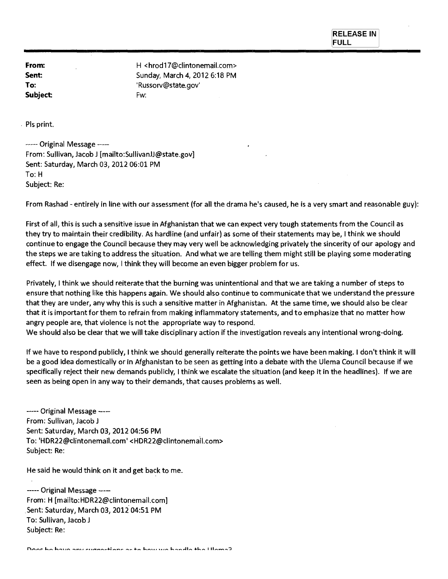**RELEASE IN FULL** 

**Subject** Fw:

**From: H** <hrod17@clintonemail.com> **Sent:** Sunday, March 4, 2012 6:18 PM **To: 'Russorv@state.gov'** 

Pls print.

----- Original Message ----From: Sullivan, Jacob J [mailto:SullivanJJ@state.gov] Sent: Saturday, March 03, 2012 06:01 PM To: H Subject: Re:

From Rashad - entirely in line with our assessment (for all the drama he's caused, he is a very smart and reasonable guy):

First of all, this is such a sensitive issue in Afghanistan that we can expect very tough statements from the Council as they try to maintain their credibility. As hardline (and unfair) as some of their statements may be, I think we should continue to engage the Council because they may very well be acknowledging privately the sincerity of our apology and the steps we are taking to address the situation. And what we are telling them might still be playing some moderating effect. If we disengage now, I think they will become an even bigger problem for us.

Privately, I think we should reiterate that the burning was unintentional and that we are taking a number of steps to ensure that nothing like this happens again. We should also continue to communicate that we understand the pressure that they are under, any why this is such a sensitive matter in Afghanistan. At the same time, we should also be clear that it is important for them to refrain from making inflammatory statements, and to emphasize that no matter how angry people are, that violence is not the appropriate way to respond.

We should also be clear that we will take disciplinary action if the investigation reveals any intentional wrong-doing.

If we have to respond publicly, I think we should generally reiterate the points we have been making. I don't think it will be a good idea domestically or in Afghanistan to be seen as getting into a debate with the Ulema Council because if we specifically reject their new demands publicly, I think we escalate the situation (and keep it in the headlines). If we are seen as being open in any way to their demands, that causes problems as well.

----- Original Message ----From: Sullivan, Jacob J Sent: Saturday, March 03, 2012 04:56 PM To: 'HDR22@clintonemail.com' <HDR22@clintonemail.com> Subject: Re:

He said he would think on it and get back to me.

----- Original Message ----From: H [mailto:HDR22@clintonemail.com] Sent: Saturday, March 03, 2012 04:51 PM To: Sullivan, Jacob Subject: Re:

Does he have any suggestions as to how we handle the Ulema?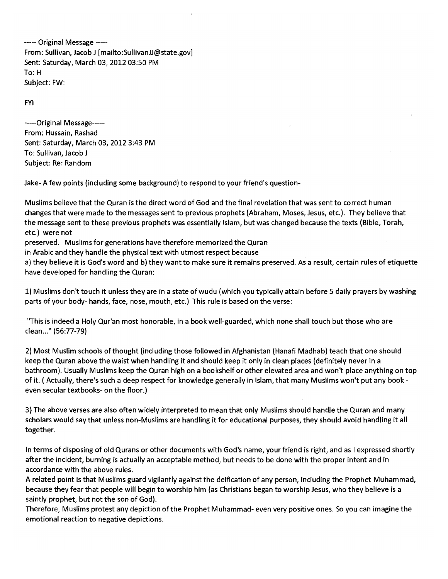----- Original Message -----From: Sullivan, Jacob J [mailto:SullivanJJ@state.gov] Sent: Saturday, March 03, 2012 03:50 PM To: H Subject: FW:

FYI

-----Original Message-----From: Hussain, Rashad Sent: Saturday, March 03, 2012 3:43 PM To: Sullivan, Jacob J Subject: Re: Random

Jake- A few points (including some background) to respond to your friend's question-

Muslims believe that the Quran is the direct word of God and the final revelation that was sent to correct human changes that were made to the messages sent to previous prophets (Abraham, Moses, Jesus, etc.). They believe that the message sent to these previous prophets was essentially Islam, but was changed because the texts (Bible, Torah, etc.) were not

preserved. Muslims for generations have therefore memorized the Quran

in Arabic and they handle the physical text with utmost respect because

a) they believe it is God's word and b) they want to make sure it remains preserved. As a result, certain rules of etiquette have developed for handling the Quran:

1) Muslims don't touch it unless they are in a state of wudu (which you typically attain before 5 daily prayers by washing parts of your body- hands, face, nose, mouth, etc.) This rule is based on the verse:

"This is indeed a Holy Qur'an most honorable, in a book well-guarded, which none shall touch but those who are clean..." (56:77-79)

2) Most Muslim schools of thought (including those followed in Afghanistan (Hanafi Madhab) teach that one should keep the Quran above the waist when handling it and should keep it only in clean places (definitely never in a bathroom). Usually Muslims keep the Quran high on a bookshelf or other elevated area and won't place anything on top of it. ( Actually, there's such a deep respect for knowledge generally in Islam, that many Muslims won't put any book even secular textbooks- on the floor.)

3) The above verses are also often widely interpreted to mean that only Muslims should handle the Quran and many scholars would say that unless non-Muslims are handling it for educational purposes, they should avoid handling it all together.

In terms of disposing of old Qurans or other documents with God's name, your friend is right, and as I expressed shortly after the incident, burning is actually an acceptable method, but needs to be done with the proper intent and in accordance with the above rules.

A related point is that Muslims guard vigilantly against the deification of any person, including the Prophet Muhammad, because they fear that people will begin to worship him (as Christians began to worship Jesus, who they believe is a saintly prophet, but not the son of God).

Therefore, Muslims protest any depiction of the Prophet Muhammad- even very positive ones. So you can imagine the emotional reaction to negative depictions.